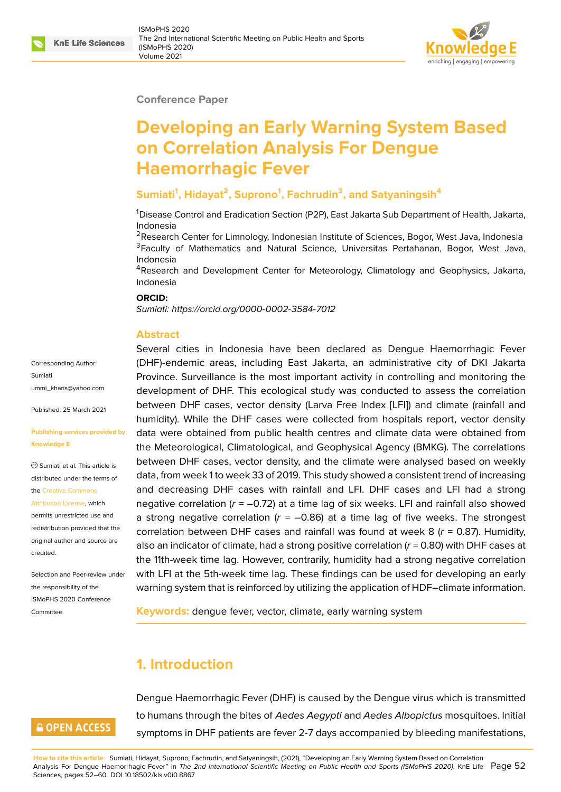### **Conference Paper**

# **Developing an Early Warning System Based on Correlation Analysis For Dengue Haemorrhagic Fever**

## **Sumiati<sup>1</sup> , Hidayat<sup>2</sup> , Suprono<sup>1</sup> , Fachrudin<sup>3</sup> , and Satyaningsih<sup>4</sup>**

<sup>1</sup>Disease Control and Eradication Section (P2P), East Jakarta Sub Department of Health, Jakarta, Indonesia

<sup>2</sup>Research Center for Limnology, Indonesian Institute of Sciences, Bogor, West Java, Indonesia <sup>3</sup>Faculty of Mathematics and Natural Science, Universitas Pertahanan, Bogor, West Java, Indonesia

<sup>4</sup>Research and Development Center for Meteorology, Climatology and Geophysics, Jakarta, Indonesia

#### **ORCID:**

*Sumiati: https://orcid.org/0000-0002-3584-7012*

#### **Abstract**

Corresponding Author: Sumiati ummi\_kharis@yahoo.com

Published: 25 March 2021

#### **[Publishing services provi](mailto:ummi_kharis@yahoo.com)ded by Knowledge E**

Sumiati et al. This article is distributed under the terms of the Creative Commons

Attribution License, which

permits unrestricted use and redistribution provided that the orig[inal author and sou](https://creativecommons.org/licenses/by/4.0/)rce are [credited.](https://creativecommons.org/licenses/by/4.0/)

Selection and Peer-review under the responsibility of the ISMoPHS 2020 Conference Committee.

**GOPEN ACCESS** 

Several [cities in Indonesia have been de](https://orcid.org/0000-0002-3584-7012)clared as Dengue Haemorrhagic Fever (DHF)-endemic areas, including East Jakarta, an administrative city of DKI Jakarta Province. Surveillance is the most important activity in controlling and monitoring the development of DHF. This ecological study was conducted to assess the correlation between DHF cases, vector density (Larva Free Index [LFI]) and climate (rainfall and humidity). While the DHF cases were collected from hospitals report, vector density data were obtained from public health centres and climate data were obtained from the Meteorological, Climatological, and Geophysical Agency (BMKG). The correlations between DHF cases, vector density, and the climate were analysed based on weekly data, from week 1 to week 33 of 2019. This study showed a consistent trend of increasing and decreasing DHF cases with rainfall and LFI. DHF cases and LFI had a strong negative correlation (*r* = –0.72) at a time lag of six weeks. LFI and rainfall also showed a strong negative correlation  $(r = -0.86)$  at a time lag of five weeks. The strongest correlation between DHF cases and rainfall was found at week 8 (*r* = 0.87). Humidity, also an indicator of climate, had a strong positive correlation (*r* = 0.80) with DHF cases at the 11th-week time lag. However, contrarily, humidity had a strong negative correlation with LFI at the 5th-week time lag. These findings can be used for developing an early warning system that is reinforced by utilizing the application of HDF–climate information.

**Keywords:** dengue fever, vector, climate, early warning system

# **1. Introduction**

Dengue Haemorrhagic Fever (DHF) is caused by the Dengue virus which is transmitted to humans through the bites of *Aedes Aegypti* and *Aedes Albopictus* mosquitoes. Initial symptoms in DHF patients are fever 2-7 days accompanied by bleeding manifestations,

**How to cite this article**: Sumiati, Hidayat, Suprono, Fachrudin, and Satyaningsih, (2021), "Developing an Early Warning System Based on Correlation Analysis For Dengue Haemorrhagic Fever" in *The 2nd International Scientific Meeting on Public Health and Sports (ISMoPHS 2020)*, KnE Life Page 52 Sciences, pages 52–60. DOI 10.18502/kls.v0i0.8867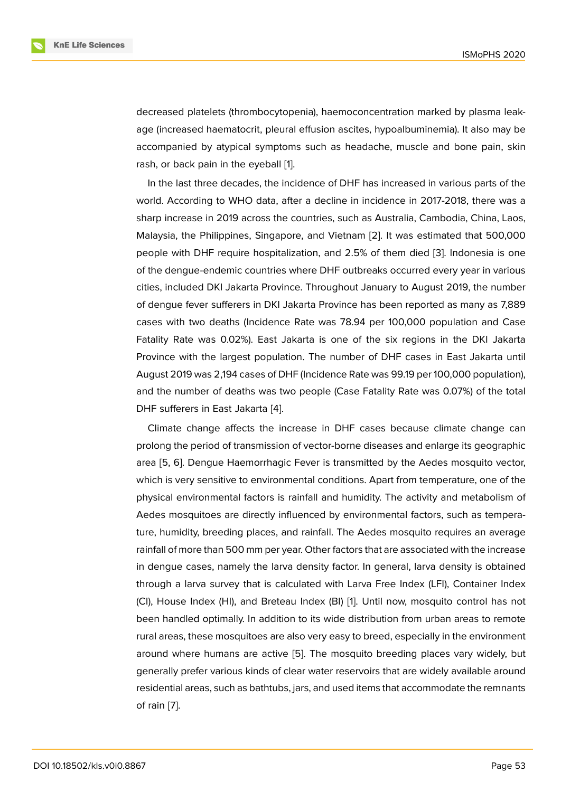decreased platelets (thrombocytopenia), haemoconcentration marked by plasma leakage (increased haematocrit, pleural effusion ascites, hypoalbuminemia). It also may be accompanied by atypical symptoms such as headache, muscle and bone pain, skin rash, or back pain in the eyeball [1].

In the last three decades, the incidence of DHF has increased in various parts of the world. According to WHO data, after a decline in incidence in 2017-2018, there was a sharp increase in 2019 across th[e](#page-7-0) countries, such as Australia, Cambodia, China, Laos, Malaysia, the Philippines, Singapore, and Vietnam [2]. It was estimated that 500,000 people with DHF require hospitalization, and 2.5% of them died [3]. Indonesia is one of the dengue-endemic countries where DHF outbreaks occurred every year in various cities, included DKI Jakarta Province. Throughout Ja[nu](#page-7-1)ary to August 2019, the number of dengue fever sufferers in DKI Jakarta Province has been report[ed](#page-7-2) as many as 7,889 cases with two deaths (Incidence Rate was 78.94 per 100,000 population and Case Fatality Rate was 0.02%). East Jakarta is one of the six regions in the DKI Jakarta Province with the largest population. The number of DHF cases in East Jakarta until August 2019 was 2,194 cases of DHF (Incidence Rate was 99.19 per 100,000 population), and the number of deaths was two people (Case Fatality Rate was 0.07%) of the total DHF sufferers in East Jakarta [4].

Climate change affects the increase in DHF cases because climate change can prolong the period of transmission of vector-borne diseases and enlarge its geographic area [5, 6]. Dengue Haemorrh[ag](#page-7-3)ic Fever is transmitted by the Aedes mosquito vector, which is very sensitive to environmental conditions. Apart from temperature, one of the physical environmental factors is rainfall and humidity. The activity and metabolism of Aede[s](#page-7-4) [mo](#page-7-5)squitoes are directly influenced by environmental factors, such as temperature, humidity, breeding places, and rainfall. The Aedes mosquito requires an average rainfall of more than 500 mm per year. Other factors that are associated with the increase in dengue cases, namely the larva density factor. In general, larva density is obtained through a larva survey that is calculated with Larva Free Index (LFI), Container Index (CI), House Index (HI), and Breteau Index (BI) [1]. Until now, mosquito control has not been handled optimally. In addition to its wide distribution from urban areas to remote rural areas, these mosquitoes are also very easy to breed, especially in the environment around where humans are active [5]. The mo[sq](#page-7-0)uito breeding places vary widely, but generally prefer various kinds of clear water reservoirs that are widely available around residential areas, such as bathtubs, jars, and used items that accommodate the remnants of rain [7].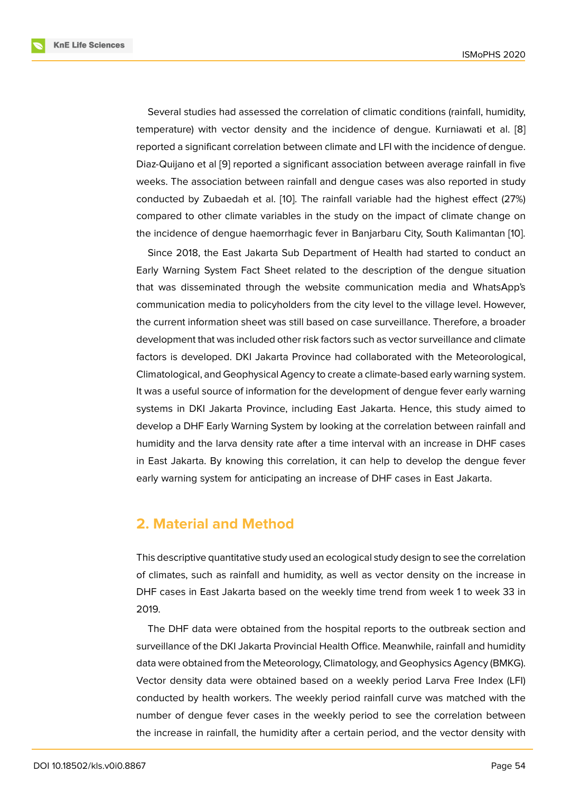Several studies had assessed the correlation of climatic conditions (rainfall, humidity, temperature) with vector density and the incidence of dengue. Kurniawati et al. [8] reported a significant correlation between climate and LFI with the incidence of dengue. Diaz-Quijano et al [9] reported a significant association between average rainfall in five weeks. The association between rainfall and dengue cases was also reported in stu[dy](#page-7-6) conducted by Zubaedah et al. [10]. The rainfall variable had the highest effect (27%) compared to other [c](#page-7-7)limate variables in the study on the impact of climate change on the incidence of dengue haemorrhagic fever in Banjarbaru City, South Kalimantan [10].

Since 2018, the East Jakarta [Su](#page-8-0)b Department of Health had started to conduct an Early Warning System Fact Sheet related to the description of the dengue situation that was disseminated through the website communication media and WhatsA[pp'](#page-8-0)s communication media to policyholders from the city level to the village level. However, the current information sheet was still based on case surveillance. Therefore, a broader development that was included other risk factors such as vector surveillance and climate factors is developed. DKI Jakarta Province had collaborated with the Meteorological, Climatological, and Geophysical Agency to create a climate-based early warning system. It was a useful source of information for the development of dengue fever early warning systems in DKI Jakarta Province, including East Jakarta. Hence, this study aimed to develop a DHF Early Warning System by looking at the correlation between rainfall and humidity and the larva density rate after a time interval with an increase in DHF cases in East Jakarta. By knowing this correlation, it can help to develop the dengue fever early warning system for anticipating an increase of DHF cases in East Jakarta.

## **2. Material and Method**

This descriptive quantitative study used an ecological study design to see the correlation of climates, such as rainfall and humidity, as well as vector density on the increase in DHF cases in East Jakarta based on the weekly time trend from week 1 to week 33 in 2019.

The DHF data were obtained from the hospital reports to the outbreak section and surveillance of the DKI Jakarta Provincial Health Office. Meanwhile, rainfall and humidity data were obtained from the Meteorology, Climatology, and Geophysics Agency (BMKG). Vector density data were obtained based on a weekly period Larva Free Index (LFI) conducted by health workers. The weekly period rainfall curve was matched with the number of dengue fever cases in the weekly period to see the correlation between the increase in rainfall, the humidity after a certain period, and the vector density with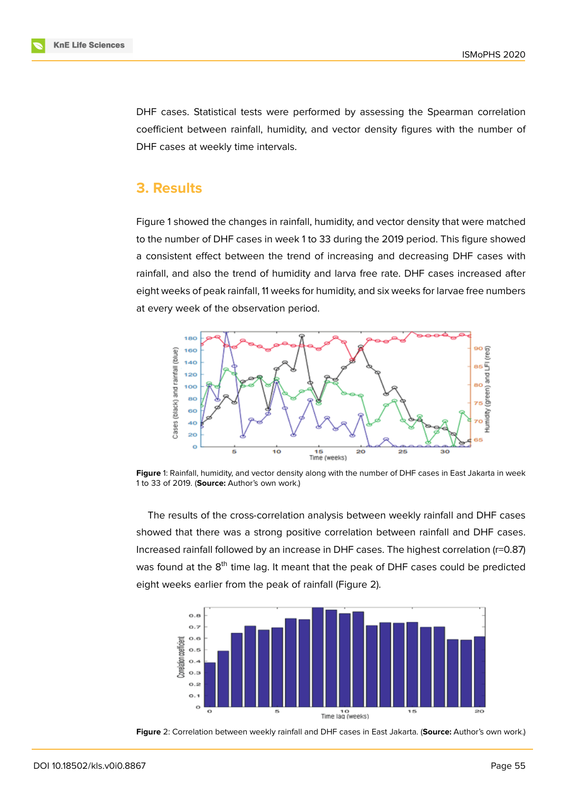DHF cases. Statistical tests were performed by assessing the Spearman correlation coefficient between rainfall, humidity, and vector density figures with the number of DHF cases at weekly time intervals.

## **3. Results**

Figure 1 showed the changes in rainfall, humidity, and vector density that were matched to the number of DHF cases in week 1 to 33 during the 2019 period. This figure showed a consistent effect between the trend of increasing and decreasing DHF cases with rainfall[,](#page-3-0) and also the trend of humidity and larva free rate. DHF cases increased after eight weeks of peak rainfall, 11 weeks for humidity, and six weeks for larvae free numbers at every week of the observation period.



**Figure** 1: Rainfall, humidity, and vector density along with the number of DHF cases in East Jakarta in week 1 to 33 of 2019. (**Source:** Author's own work.)

<span id="page-3-0"></span>The results of the cross-correlation analysis between weekly rainfall and DHF cases showed that there was a strong positive correlation between rainfall and DHF cases. Increased rainfall followed by an increase in DHF cases. The highest correlation (r=0.87) was found at the 8<sup>th</sup> time lag. It meant that the peak of DHF cases could be predicted eight weeks earlier from the peak of rainfall (Figure 2).



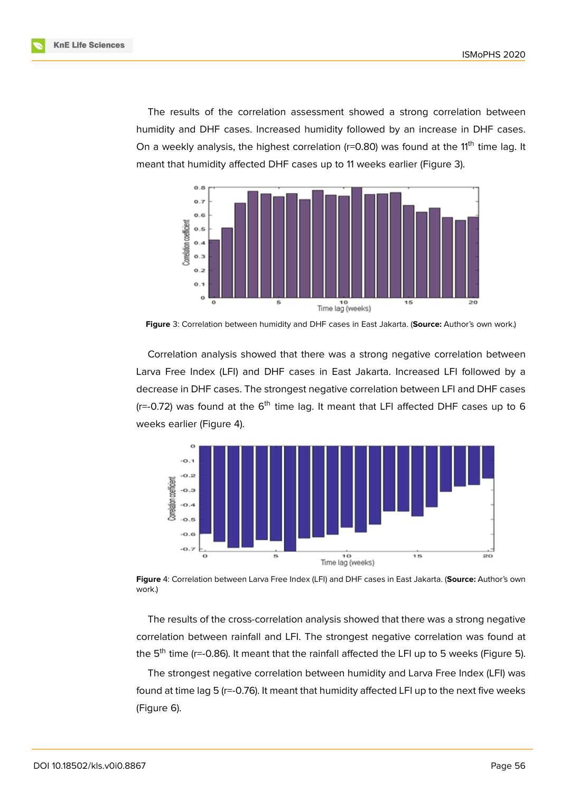The results of the correlation assessment showed a strong correlation between humidity and DHF cases. Increased humidity followed by an increase in DHF cases. On a weekly analysis, the highest correlation ( $r=0.80$ ) was found at the 11<sup>th</sup> time lag. It meant that humidity affected DHF cases up to 11 weeks earlier (Figure 3).



**Figure** 3: Correlation between humidity and DHF cases in East Jakarta. (**Source:** Author's own work.)

Correlation analysis showed that there was a strong negative correlation between Larva Free Index (LFI) and DHF cases in East Jakarta. Increased LFI followed by a decrease in DHF cases. The strongest negative correlation between LFI and DHF cases  $(r=-0.72)$  was found at the 6<sup>th</sup> time lag. It meant that LFI affected DHF cases up to 6 weeks earlier (Figure 4).



**Figure** 4: Correlation between Larva Free Index (LFI) and DHF cases in East Jakarta. (**Source:** Author's own work.)

The results of the cross-correlation analysis showed that there was a strong negative correlation between rainfall and LFI. The strongest negative correlation was found at the  $5<sup>th</sup>$  time (r=-0.86). It meant that the rainfall affected the LFI up to 5 weeks (Figure 5).

The strongest negative correlation between humidity and Larva Free Index (LFI) was found at time lag 5 (r=-0.76). It meant that humidity affected LFI up to the next five we[ek](#page-5-0)s (Figure 6).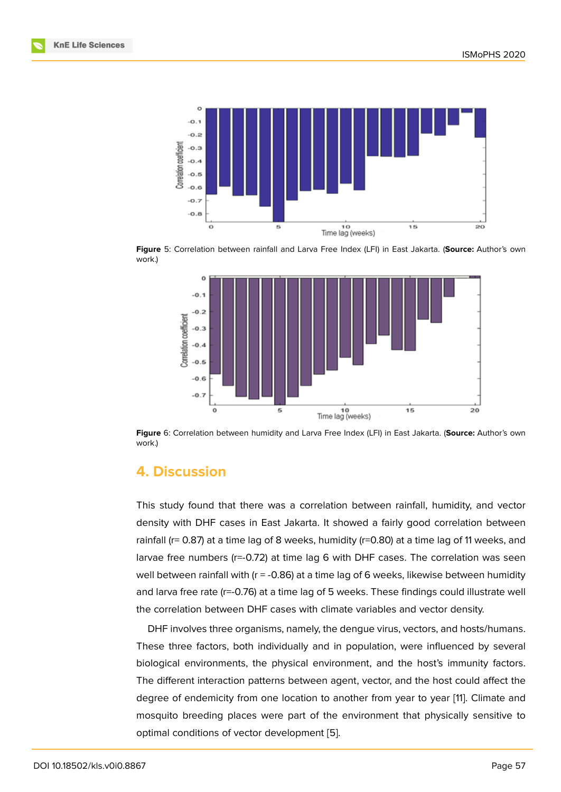

**Figure** 5: Correlation between rainfall and Larva Free Index (LFI) in East Jakarta. (**Source:** Author's own work.)

<span id="page-5-0"></span>

**Figure** 6: Correlation between humidity and Larva Free Index (LFI) in East Jakarta. (**Source:** Author's own work.)

# **4. Discussion**

This study found that there was a correlation between rainfall, humidity, and vector density with DHF cases in East Jakarta. It showed a fairly good correlation between rainfall ( $r= 0.87$ ) at a time lag of 8 weeks, humidity ( $r=0.80$ ) at a time lag of 11 weeks, and larvae free numbers (r=-0.72) at time lag 6 with DHF cases. The correlation was seen well between rainfall with (r = -0.86) at a time lag of 6 weeks, likewise between humidity and larva free rate (r=-0.76) at a time lag of 5 weeks. These findings could illustrate well the correlation between DHF cases with climate variables and vector density.

DHF involves three organisms, namely, the dengue virus, vectors, and hosts/humans. These three factors, both individually and in population, were influenced by several biological environments, the physical environment, and the host's immunity factors. The different interaction patterns between agent, vector, and the host could affect the degree of endemicity from one location to another from year to year [11]. Climate and mosquito breeding places were part of the environment that physically sensitive to optimal conditions of vector development [5].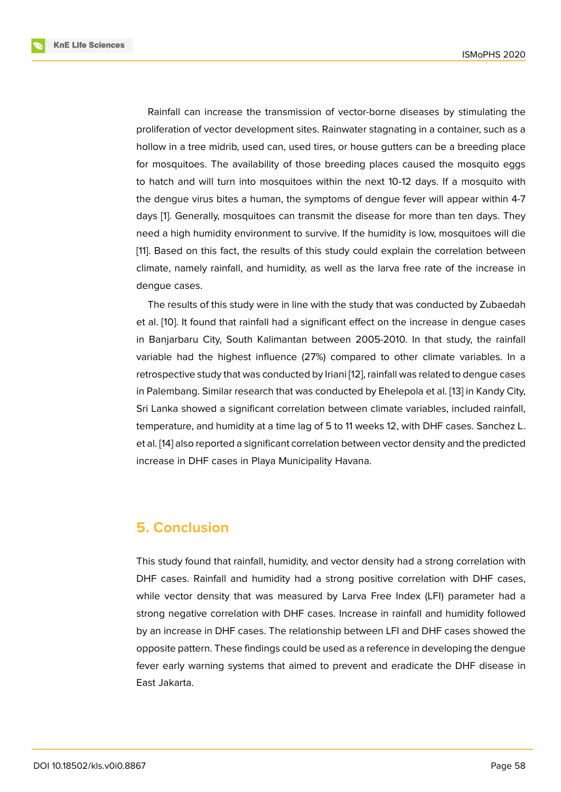Rainfall can increase the transmission of vector-borne diseases by stimulating the proliferation of vector development sites. Rainwater stagnating in a container, such as a hollow in a tree midrib, used can, used tires, or house gutters can be a breeding place for mosquitoes. The availability of those breeding places caused the mosquito eggs to hatch and will turn into mosquitoes within the next 10-12 days. If a mosquito with the dengue virus bites a human, the symptoms of dengue fever will appear within 4-7 days [1]. Generally, mosquitoes can transmit the disease for more than ten days. They need a high humidity environment to survive. If the humidity is low, mosquitoes will die [11]. Based on this fact, the results of this study could explain the correlation between clima[te](#page-7-0), namely rainfall, and humidity, as well as the larva free rate of the increase in dengue cases.

The results of this study were in line with the study that was conducted by Zubaedah et al. [10]. It found that rainfall had a significant effect on the increase in dengue cases in Banjarbaru City, South Kalimantan between 2005-2010. In that study, the rainfall variable had the highest influence (27%) compared to other climate variables. In a retros[pec](#page-8-0)tive study that was conducted by Iriani [12], rainfall was related to dengue cases in Palembang. Similar research that was conducted by Ehelepola et al. [13] in Kandy City, Sri Lanka showed a significant correlation between climate variables, included rainfall, temperature, and humidity at a time lag of 5 to 1[1 w](#page-8-1)eeks 12, with DHF cases. Sanchez L. et al. [14] also reported a significant correlation between vector density [and](#page-8-2) the predicted increase in DHF cases in Playa Municipality Havana.

# **5. Conclusion**

This study found that rainfall, humidity, and vector density had a strong correlation with DHF cases. Rainfall and humidity had a strong positive correlation with DHF cases, while vector density that was measured by Larva Free Index (LFI) parameter had a strong negative correlation with DHF cases. Increase in rainfall and humidity followed by an increase in DHF cases. The relationship between LFI and DHF cases showed the opposite pattern. These findings could be used as a reference in developing the dengue fever early warning systems that aimed to prevent and eradicate the DHF disease in East Jakarta.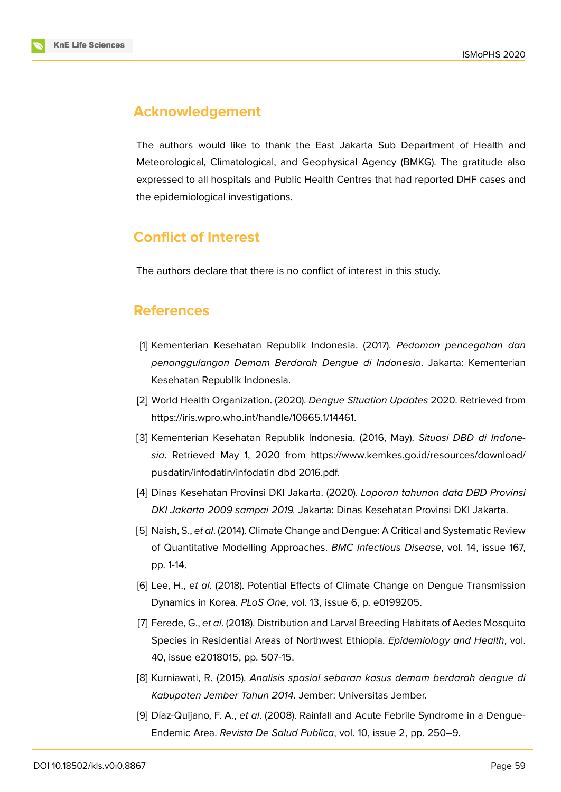# **Acknowledgement**

The authors would like to thank the East Jakarta Sub Department of Health and Meteorological, Climatological, and Geophysical Agency (BMKG). The gratitude also expressed to all hospitals and Public Health Centres that had reported DHF cases and the epidemiological investigations.

# **Conflict of Interest**

The authors declare that there is no conflict of interest in this study.

# **References**

- [1] Kementerian Kesehatan Republik Indonesia. (2017). *Pedoman pencegahan dan penanggulangan Demam Berdarah Dengue di Indonesia*. Jakarta: Kementerian Kesehatan Republik Indonesia.
- <span id="page-7-0"></span>[2] World Health Organization. (2020). *Dengue Situation Updates* 2020. Retrieved from https://iris.wpro.who.int/handle/10665.1/14461.
- <span id="page-7-1"></span>[3] Kementerian Kesehatan Republik Indonesia. (2016, May). *Situasi DBD di Indonesia*. Retrieved May 1, 2020 from https://www.kemkes.go.id/resources/download/ [pusdatin/infodatin/infodatin](https://iris.wpro.who.int/handle/10665.1/14461) dbd 2016.pdf.
- <span id="page-7-2"></span>[4] Dinas Kesehatan Provinsi DKI Jakarta. (2020). *Laporan tahunan data DBD Provinsi [DKI Jakarta 2009 sampai 2](https://www.kemkes.go.id/resources/download/pusdatin/infodatin/infodatin)019.* Ja[karta: Dinas Kesehatan Provinsi DKI Jakarta.](https://www.kemkes.go.id/resources/download/pusdatin/infodatin/infodatin)
- <span id="page-7-3"></span>[5] Naish, S., *et al*. (2014). Climate Change and Dengue: A Critical and Systematic Review of Quantitative Modelling Approaches. *BMC Infectious Disease*, vol. 14, issue 167, pp. 1-14.
- <span id="page-7-4"></span>[6] Lee, H., *et al*. (2018). Potential Effects of Climate Change on Dengue Transmission Dynamics in Korea. *PLoS One*, vol. 13, issue 6, p. e0199205.
- <span id="page-7-5"></span>[7] Ferede, G., *et al*. (2018). Distribution and Larval Breeding Habitats of Aedes Mosquito Species in Residential Areas of Northwest Ethiopia. *Epidemiology and Health*, vol. 40, issue e2018015, pp. 507-15.
- [8] Kurniawati, R. (2015). *Analisis spasial sebaran kasus demam berdarah dengue di Kabupaten Jember Tahun 2014*. Jember: Universitas Jember.
- <span id="page-7-7"></span><span id="page-7-6"></span>[9] Díaz-Quijano, F. A., *et al*. (2008). Rainfall and Acute Febrile Syndrome in a Dengue-Endemic Area. *Revista De Salud Publica*, vol. 10, issue 2, pp. 250–9.